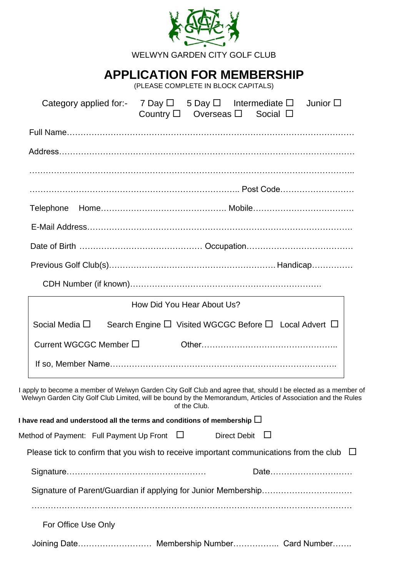|           |                                                                                                                                                                                                                               |                            |              | WELWYN GARDEN CITY GOLF CLUB                                             |      |  |
|-----------|-------------------------------------------------------------------------------------------------------------------------------------------------------------------------------------------------------------------------------|----------------------------|--------------|--------------------------------------------------------------------------|------|--|
|           |                                                                                                                                                                                                                               |                            |              | <b>APPLICATION FOR MEMBERSHIP</b><br>(PLEASE COMPLETE IN BLOCK CAPITALS) |      |  |
|           | Category applied for:- 7 Day $\square$ 5 Day $\square$ Intermediate $\square$ Junior $\square$                                                                                                                                |                            |              | Country $\square$ Overseas $\square$ Social $\square$                    |      |  |
|           |                                                                                                                                                                                                                               |                            |              |                                                                          |      |  |
|           |                                                                                                                                                                                                                               |                            |              |                                                                          |      |  |
|           |                                                                                                                                                                                                                               |                            |              |                                                                          |      |  |
|           |                                                                                                                                                                                                                               |                            |              |                                                                          |      |  |
| Telephone |                                                                                                                                                                                                                               |                            |              |                                                                          |      |  |
|           |                                                                                                                                                                                                                               |                            |              |                                                                          |      |  |
|           |                                                                                                                                                                                                                               |                            |              |                                                                          |      |  |
|           |                                                                                                                                                                                                                               |                            |              |                                                                          |      |  |
|           |                                                                                                                                                                                                                               |                            |              |                                                                          |      |  |
|           |                                                                                                                                                                                                                               | How Did You Hear About Us? |              |                                                                          |      |  |
|           | Social Media $\Box$                                                                                                                                                                                                           |                            |              | Search Engine $\Box$ Visited WGCGC Before $\Box$ Local Advert $\Box$     |      |  |
|           | Current WGCGC Member □                                                                                                                                                                                                        |                            |              |                                                                          |      |  |
|           |                                                                                                                                                                                                                               |                            |              |                                                                          |      |  |
|           | I apply to become a member of Welwyn Garden City Golf Club and agree that, should I be elected as a member of<br>Welwyn Garden City Golf Club Limited, will be bound by the Memorandum, Articles of Association and the Rules |                            | of the Club. |                                                                          |      |  |
|           | I have read and understood all the terms and conditions of membership $\Box$                                                                                                                                                  |                            |              |                                                                          |      |  |
|           | Method of Payment: Full Payment Up Front $\Box$                                                                                                                                                                               |                            |              | <b>Direct Debit</b>                                                      |      |  |
|           | Please tick to confirm that you wish to receive important communications from the club $\Box$                                                                                                                                 |                            |              |                                                                          |      |  |
|           |                                                                                                                                                                                                                               |                            |              |                                                                          | Date |  |
|           |                                                                                                                                                                                                                               |                            |              |                                                                          |      |  |
|           | For Office Use Only                                                                                                                                                                                                           |                            |              |                                                                          |      |  |

Joining Date……………………… Membership Number…………….. Card Number…….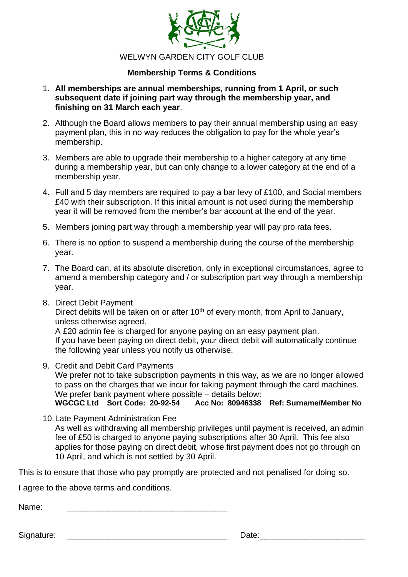

### **Membership Terms & Conditions**

- 1. **All memberships are annual memberships, running from 1 April, or such subsequent date if joining part way through the membership year, and finishing on 31 March each year**.
- 2. Although the Board allows members to pay their annual membership using an easy payment plan, this in no way reduces the obligation to pay for the whole year's membership.
- 3. Members are able to upgrade their membership to a higher category at any time during a membership year, but can only change to a lower category at the end of a membership year.
- 4. Full and 5 day members are required to pay a bar levy of £100, and Social members £40 with their subscription. If this initial amount is not used during the membership year it will be removed from the member's bar account at the end of the year.
- 5. Members joining part way through a membership year will pay pro rata fees.
- 6. There is no option to suspend a membership during the course of the membership year.
- 7. The Board can, at its absolute discretion, only in exceptional circumstances, agree to amend a membership category and / or subscription part way through a membership year.
- 8. Direct Debit Payment Direct debits will be taken on or after 10<sup>th</sup> of every month, from April to January, unless otherwise agreed. A £20 admin fee is charged for anyone paying on an easy payment plan. If you have been paying on direct debit, your direct debit will automatically continue the following year unless you notify us otherwise.
- 9. Credit and Debit Card Payments We prefer not to take subscription payments in this way, as we are no longer allowed to pass on the charges that we incur for taking payment through the card machines. We prefer bank payment where possible – details below:<br>WGCGC Ltd Sort Code: 20-92-54 Acc No: 80946338 **WGCGC Ltd Sort Code: 20-92-54 Acc No: 80946338 Ref: Surname/Member No**
- 10.Late Payment Administration Fee

As well as withdrawing all membership privileges until payment is received, an admin fee of £50 is charged to anyone paying subscriptions after 30 April. This fee also applies for those paying on direct debit, whose first payment does not go through on 10 April, and which is not settled by 30 April.

This is to ensure that those who pay promptly are protected and not penalised for doing so.

I agree to the above terms and conditions.

Signature: \_\_\_\_\_\_\_\_\_\_\_\_\_\_\_\_\_\_\_\_\_\_\_\_\_\_\_\_\_\_\_\_\_\_\_ Date:\_\_\_\_\_\_\_\_\_\_\_\_\_\_\_\_\_\_\_\_\_\_\_